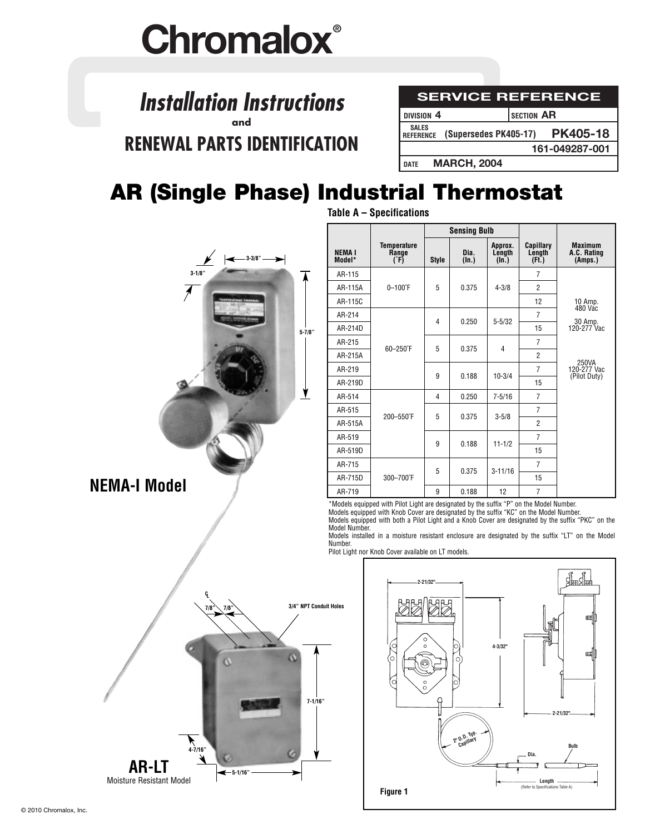# **Chromalox®**

### **SERVICE REFERENCE** *Installation Instructions* **and RENEWAL PARTS IDENTIFICATION**

| <b>SERVICE REFERENCE</b>                        |                   |                 |  |  |  |  |
|-------------------------------------------------|-------------------|-----------------|--|--|--|--|
| DIVISION <sub>4</sub>                           | <b>SECTION AR</b> |                 |  |  |  |  |
| <b>SALES</b><br>REFERENCE (Supersedes PK405-17) |                   | <b>PK405-18</b> |  |  |  |  |
|                                                 |                   | 161-049287-001  |  |  |  |  |
| <b>MARCH, 2004</b><br><b>DATE</b>               |                   |                 |  |  |  |  |

## **AR (Single Phase) Industrial Thermostat**

**Table A – Specifications**

|                                                                                                              |                          |                                                                                                                                                                                                                                                                                                                                                                                             |                |                                | <b>Sensing Bulb</b>        |                                      |                                                  |
|--------------------------------------------------------------------------------------------------------------|--------------------------|---------------------------------------------------------------------------------------------------------------------------------------------------------------------------------------------------------------------------------------------------------------------------------------------------------------------------------------------------------------------------------------------|----------------|--------------------------------|----------------------------|--------------------------------------|--------------------------------------------------|
| $-3 - 3/8"$                                                                                                  | NEMA I<br>Model*         | <b>Temperature</b><br>Range<br>(F)                                                                                                                                                                                                                                                                                                                                                          | <b>Style</b>   | Dia.<br>$(\ln.)$               | Approx.<br>Length<br>(In.) | Capillary<br>Length<br>(Ft.)         | <b>Maximum</b><br>A.C. Rating<br>(Amps.)         |
| $3 - 1/8$                                                                                                    | AR-115                   |                                                                                                                                                                                                                                                                                                                                                                                             |                |                                |                            | $\overline{7}$                       |                                                  |
|                                                                                                              | AR-115A                  | $0 - 100$ °F                                                                                                                                                                                                                                                                                                                                                                                | 5              | 0.375                          | $4 - 3/8$                  | $\overline{2}$                       |                                                  |
|                                                                                                              | AR-115C                  |                                                                                                                                                                                                                                                                                                                                                                                             |                |                                |                            | 12                                   | 10 Amp.<br>480 Vac                               |
|                                                                                                              | AR-214                   |                                                                                                                                                                                                                                                                                                                                                                                             | 4              | 0.250                          | $5 - 5/32$                 | $\overline{7}$                       |                                                  |
| $5 - 7/8$ "                                                                                                  | AR-214D                  |                                                                                                                                                                                                                                                                                                                                                                                             |                |                                |                            | 15                                   | 30 Amp.<br>120-277 Vac                           |
|                                                                                                              | AR-215                   | 60-250°F                                                                                                                                                                                                                                                                                                                                                                                    | 5              | 0.375                          | 4                          | $\overline{7}$                       |                                                  |
|                                                                                                              | AR-215A                  |                                                                                                                                                                                                                                                                                                                                                                                             | 9<br>0.188     |                                | $\overline{2}$             |                                      |                                                  |
|                                                                                                              | AR-219                   |                                                                                                                                                                                                                                                                                                                                                                                             |                | $10 - 3/4$                     | $\overline{7}$             | 250VA<br>120-277 Vac<br>(Pilot Duty) |                                                  |
|                                                                                                              | AR-219D                  |                                                                                                                                                                                                                                                                                                                                                                                             |                | 15                             |                            |                                      |                                                  |
| <u>y</u>                                                                                                     | AR-514                   |                                                                                                                                                                                                                                                                                                                                                                                             | $\overline{4}$ | 0.250                          | $7 - 5/16$                 | $\overline{7}$                       |                                                  |
|                                                                                                              | AR-515                   | 200-550°F                                                                                                                                                                                                                                                                                                                                                                                   | 5              | 0.375                          | $3 - 5/8$<br>$11 - 1/2$    | $\overline{7}$                       |                                                  |
|                                                                                                              | AR-515A                  |                                                                                                                                                                                                                                                                                                                                                                                             |                |                                |                            | $\overline{2}$                       |                                                  |
|                                                                                                              | AR-519                   |                                                                                                                                                                                                                                                                                                                                                                                             | 9              | 0.188                          |                            | $\overline{7}$                       |                                                  |
|                                                                                                              | AR-519D                  |                                                                                                                                                                                                                                                                                                                                                                                             |                |                                |                            | 15                                   |                                                  |
|                                                                                                              | AR-715                   |                                                                                                                                                                                                                                                                                                                                                                                             | 5              | 0.375                          | $3 - 11/16$                | $\overline{7}$                       |                                                  |
| <b>NEMA-I Model</b>                                                                                          | 300-700°F<br>AR-715D     |                                                                                                                                                                                                                                                                                                                                                                                             |                |                                | 15                         |                                      |                                                  |
|                                                                                                              | AR-719                   |                                                                                                                                                                                                                                                                                                                                                                                             | 9              | 0.188                          | 12                         | $\overline{7}$                       |                                                  |
|                                                                                                              | Model Number.<br>Number. | *Models equipped with Pilot Light are designated by the suffix "P" on the Model Number.<br>Models equipped with Knob Cover are designated by the suffix "KC" on the Model Number.<br>Models equipped with both a Pilot Light and a K<br>Models installed in a moisture resistant enclosure are designated by the suffix "LT" on the M<br>Pilot Light nor Knob Cover available on LT models. |                |                                |                            |                                      |                                                  |
| q.<br>$7/8$ <sup>2</sup><br>3/4" NPT Conduit Holes<br>7/8<br>$7 - 1/16"$<br>$4 - 7/16"$<br>υ<br><b>AR-LT</b> |                          | O<br>0)<br>Ιo                                                                                                                                                                                                                                                                                                                                                                               | 2-21/32"       | O<br>2' 0.D. Typ.<br>Capillary | $4 - 3/32"$                | . Dia.                               | <u> शुम्मशुम्म</u><br>œ<br>瓯<br>2-21/32"<br>Bulb |
| $-5-1/16"$<br>Moisture Resistant Model                                                                       |                          |                                                                                                                                                                                                                                                                                                                                                                                             |                |                                |                            | Lenatl                               |                                                  |



Moisture Resistant Model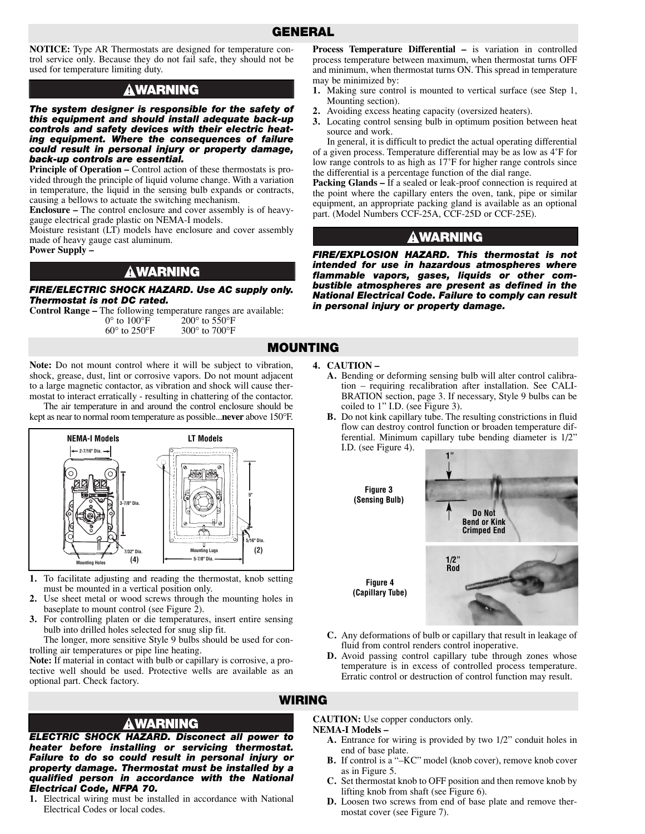#### **GENERAL**

**NOTICE:** Type AR Thermostats are designed for temperature control service only. Because they do not fail safe, they should not be used for temperature limiting duty.

#### **AWARNING**

*The system designer is responsible for the safety of this equipment and should install adequate back-up controls and safety devices with their electric heating equipment. Where the consequences of failure could result in personal injury or property damage, back-up controls are essential.* 

**Principle of Operation – Control action of these thermostats is pro**vided through the principle of liquid volume change. With a variation in temperature, the liquid in the sensing bulb expands or contracts, causing a bellows to actuate the switching mechanism.

**Enclosure –** The control enclosure and cover assembly is of heavygauge electrical grade plastic on NEMA-I models.

Moisture resistant (LT) models have enclosure and cover assembly made of heavy gauge cast aluminum.

**Power Supply –**

#### <u>a</u>warning

*FIRE/ELECTRIC SHOCK HAZARD. Use AC supply only. Thermostat is not DC rated.*

**Control Range –** The following temperature ranges are available:<br> $0^{\circ}$  to  $100^{\circ}$ F  $200^{\circ}$  to  $550^{\circ}$ F  $0^{\circ}$  to  $100^{\circ}$  F  $200^{\circ}$  to  $550^{\circ}$  F<br>  $60^{\circ}$  to  $250^{\circ}$  F  $300^{\circ}$  to  $700^{\circ}$  F  $300^{\circ}$  to  $700^{\circ}$ F

**Note:** Do not mount control where it will be subject to vibration, shock, grease, dust, lint or corrosive vapors. Do not mount adjacent to a large magnetic contactor, as vibration and shock will cause thermostat to interact erratically - resulting in chattering of the contactor.

The air temperature in and around the control enclosure should be kept as near to normal room temperature as possible...**never** above 150°F.



- **1.** To facilitate adjusting and reading the thermostat, knob setting must be mounted in a vertical position only.
- **2.** Use sheet metal or wood screws through the mounting holes in baseplate to mount control (see Figure  $\tilde{2}$ ).
- **3.** For controlling platen or die temperatures, insert entire sensing bulb into drilled holes selected for snug slip fit.

The longer, more sensitive Style 9 bulbs should be used for controlling air temperatures or pipe line heating.

**Note:** If material in contact with bulb or capillary is corrosive, a protective well should be used. Protective wells are available as an optional part. Check factory.

**Process Temperature Differential –** is variation in controlled process temperature between maximum, when thermostat turns OFF and minimum, when thermostat turns ON. This spread in temperature may be minimized by:

- **1.** Making sure control is mounted to vertical surface (see Step 1, Mounting section).
- **2.** Avoiding excess heating capacity (oversized heaters).
- **3.** Locating control sensing bulb in optimum position between heat source and work.

In general, it is difficult to predict the actual operating differential of a given process. Temperature differential may be as low as 4˚F for low range controls to as high as 17˚F for higher range controls since the differential is a percentage function of the dial range.

**Packing Glands –** If a sealed or leak-proof connection is required at the point where the capillary enters the oven, tank, pipe or similar equipment, an appropriate packing gland is available as an optional part. (Model Numbers CCF-25A, CCF-25D or CCF-25E).

#### **AWARNING**

*FIRE/EXPLOSION HAZARD. This thermostat is not intended for use in hazardous atmospheres where flammable vapors, gases, liquids or other combustible atmospheres are present as defined in the National Electrical Code. Failure to comply can result in personal injury or property damage.*

**4. CAUTION –**

**MOUNTING**

**WIRING**

- **A.** Bending or deforming sensing bulb will alter control calibration – requiring recalibration after installation. See CALI-BRATION section, page 3. If necessary, Style 9 bulbs can be coiled to 1" I.D. (see Figure 3).
- **B.** Do not kink capillary tube. The resulting constrictions in fluid flow can destroy control function or broaden temperature differential. Minimum capillary tube bending diameter is 1/2" I.D. (see Figure 4).



- **C.** Any deformations of bulb or capillary that result in leakage of fluid from control renders control inoperative.
- **D.** Avoid passing control capillary tube through zones whose temperature is in excess of controlled process temperature. Erratic control or destruction of control function may result.

#### **AWARNING**

*ELECTRIC SHOCK HAZARD. Disconect all power to heater before installing or servicing thermostat. Failure to do so could result in personal injury or property damage. Thermostat must be installed by a qualified person in accordance with the National Electrical Code, NFPA 70.*

**1.** Electrical wiring must be installed in accordance with National Electrical Codes or local codes.

**CAUTION:** Use copper conductors only. **NEMA-I Models –**

- **A.** Entrance for wiring is provided by two 1/2" conduit holes in end of base plate.
- **B.** If control is a "–KC" model (knob cover), remove knob cover as in Figure 5.
- **C.** Set thermostat knob to OFF position and then remove knob by lifting knob from shaft (see Figure 6).
- **D.** Loosen two screws from end of base plate and remove thermostat cover (see Figure 7).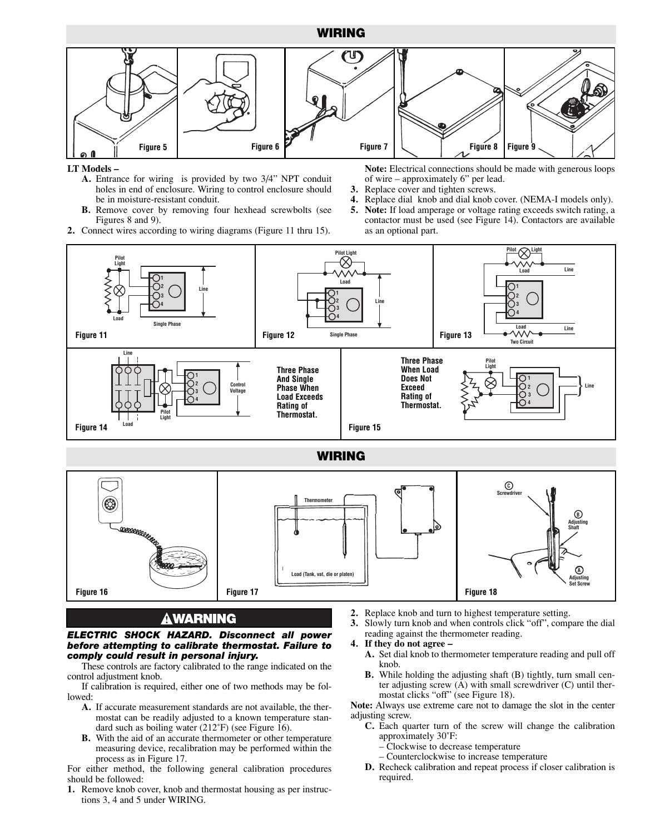#### **WIRING**



#### **LT Models –**

- **A.** Entrance for wiring is provided by two 3/4" NPT conduit holes in end of enclosure. Wiring to control enclosure should be in moisture-resistant conduit.
- **B.** Remove cover by removing four hexhead screwbolts (see Figures 8 and 9).
- **2.** Connect wires according to wiring diagrams (Figure 11 thru 15).

**Note:** Electrical connections should be made with generous loops of wire – approximately 6" per lead.

- **3.** Replace cover and tighten screws.
- **4.** Replace dial knob and dial knob cover. (NEMA-I models only).
- **Pilot**<br> **Pilot**<br> **Pilot**<br> **Pilot**<br> **Pilot**<br> **Pilot 5. Note:** If load amperage or voltage rating exceeds switch rating, a contactor must be used (see Figure 14). Contactors are available as an optional part.



#### **WIRING**



#### **AWARNING**

#### *ELECTRIC SHOCK HAZARD. Disconnect all power before attempting to calibrate thermostat. Failure to comply could result in personal injury.*

These controls are factory calibrated to the range indicated on the control adjustment knob.

- If calibration is required, either one of two methods may be followed:
	- **A.** If accurate measurement standards are not available, the thermostat can be readily adjusted to a known temperature standard such as boiling water (212°F) (see Figure 16).
	- **B.** With the aid of an accurate thermometer or other temperature measuring device, recalibration may be performed within the process as in Figure 17.

For either method, the following general calibration procedures should be followed:

**1.** Remove knob cover, knob and thermostat housing as per instructions 3, 4 and 5 under WIRING.

- **2.** Replace knob and turn to highest temperature setting.
- **3.** Slowly turn knob and when controls click "off", compare the dial reading against the thermometer reading.
- **4. If they do not agree –**
	- **A.** Set dial knob to thermometer temperature reading and pull off knob.
	- **B.** While holding the adjusting shaft (B) tightly, turn small center adjusting screw (A) with small screwdriver (C) until thermostat clicks "off" (see Figure 18).

**Note:** Always use extreme care not to damage the slot in the center adjusting screw.

- **C.** Each quarter turn of the screw will change the calibration approximately 30˚F:
	- Clockwise to decrease temperature
	- Counterclockwise to increase temperature
	- **D.** Recheck calibration and repeat process if closer calibration is required.